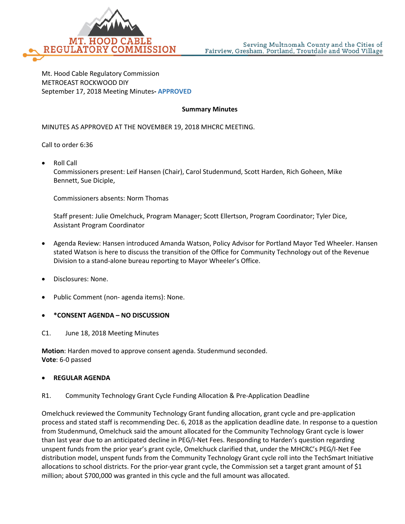

Mt. Hood Cable Regulatory Commission METROEAST ROCKWOOD DIY September 17, 2018 Meeting Minutes**- APPROVED**

#### **Summary Minutes**

MINUTES AS APPROVED AT THE NOVEMBER 19, 2018 MHCRC MEETING.

Call to order 6:36

• Roll Call Commissioners present: Leif Hansen (Chair), Carol Studenmund, Scott Harden, Rich Goheen, Mike Bennett, Sue Diciple,

Commissioners absents: Norm Thomas

Staff present: Julie Omelchuck, Program Manager; Scott Ellertson, Program Coordinator; Tyler Dice, Assistant Program Coordinator

- Agenda Review: Hansen introduced Amanda Watson, Policy Advisor for Portland Mayor Ted Wheeler. Hansen stated Watson is here to discuss the transition of the Office for Community Technology out of the Revenue Division to a stand-alone bureau reporting to Mayor Wheeler's Office.
- Disclosures: None.
- Public Comment (non- agenda items): None.
- **\*CONSENT AGENDA – NO DISCUSSION**
- C1. June 18, 2018 Meeting Minutes

**Motion**: Harden moved to approve consent agenda. Studenmund seconded. **Vote**: 6-0 passed

#### • **REGULAR AGENDA**

R1. Community Technology Grant Cycle Funding Allocation & Pre-Application Deadline

Omelchuck reviewed the Community Technology Grant funding allocation, grant cycle and pre-application process and stated staff is recommending Dec. 6, 2018 as the application deadline date. In response to a question from Studenmund, Omelchuck said the amount allocated for the Community Technology Grant cycle is lower than last year due to an anticipated decline in PEG/I-Net Fees. Responding to Harden's question regarding unspent funds from the prior year's grant cycle, Omelchuck clarified that, under the MHCRC's PEG/I-Net Fee distribution model, unspent funds from the Community Technology Grant cycle roll into the TechSmart Initiative allocations to school districts. For the prior-year grant cycle, the Commission set a target grant amount of \$1 million; about \$700,000 was granted in this cycle and the full amount was allocated.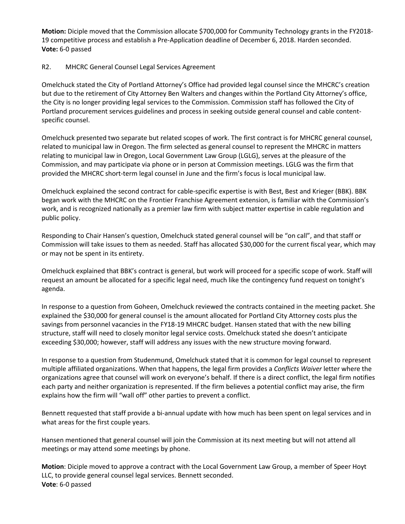**Motion:** Diciple moved that the Commission allocate \$700,000 for Community Technology grants in the FY2018- 19 competitive process and establish a Pre-Application deadline of December 6, 2018. Harden seconded. **Vote:** 6-0 passed

## R2. MHCRC General Counsel Legal Services Agreement

Omelchuck stated the City of Portland Attorney's Office had provided legal counsel since the MHCRC's creation but due to the retirement of City Attorney Ben Walters and changes within the Portland City Attorney's office, the City is no longer providing legal services to the Commission. Commission staff has followed the City of Portland procurement services guidelines and process in seeking outside general counsel and cable contentspecific counsel.

Omelchuck presented two separate but related scopes of work. The first contract is for MHCRC general counsel, related to municipal law in Oregon. The firm selected as general counsel to represent the MHCRC in matters relating to municipal law in Oregon, Local Government Law Group (LGLG), serves at the pleasure of the Commission, and may participate via phone or in person at Commission meetings. LGLG was the firm that provided the MHCRC short-term legal counsel in June and the firm's focus is local municipal law.

Omelchuck explained the second contract for cable-specific expertise is with Best, Best and Krieger (BBK). BBK began work with the MHCRC on the Frontier Franchise Agreement extension, is familiar with the Commission's work, and is recognized nationally as a premier law firm with subject matter expertise in cable regulation and public policy.

Responding to Chair Hansen's question, Omelchuck stated general counsel will be "on call", and that staff or Commission will take issues to them as needed. Staff has allocated \$30,000 for the current fiscal year, which may or may not be spent in its entirety.

Omelchuck explained that BBK's contract is general, but work will proceed for a specific scope of work. Staff will request an amount be allocated for a specific legal need, much like the contingency fund request on tonight's agenda.

In response to a question from Goheen, Omelchuck reviewed the contracts contained in the meeting packet. She explained the \$30,000 for general counsel is the amount allocated for Portland City Attorney costs plus the savings from personnel vacancies in the FY18-19 MHCRC budget. Hansen stated that with the new billing structure, staff will need to closely monitor legal service costs. Omelchuck stated she doesn't anticipate exceeding \$30,000; however, staff will address any issues with the new structure moving forward.

In response to a question from Studenmund, Omelchuck stated that it is common for legal counsel to represent multiple affiliated organizations. When that happens, the legal firm provides a *Conflicts Waiver* letter where the organizations agree that counsel will work on everyone's behalf. If there is a direct conflict, the legal firm notifies each party and neither organization is represented. If the firm believes a potential conflict may arise, the firm explains how the firm will "wall off" other parties to prevent a conflict.

Bennett requested that staff provide a bi-annual update with how much has been spent on legal services and in what areas for the first couple years.

Hansen mentioned that general counsel will join the Commission at its next meeting but will not attend all meetings or may attend some meetings by phone.

**Motion**: Diciple moved to approve a contract with the Local Government Law Group, a member of Speer Hoyt LLC, to provide general counsel legal services. Bennett seconded. **Vote**: 6-0 passed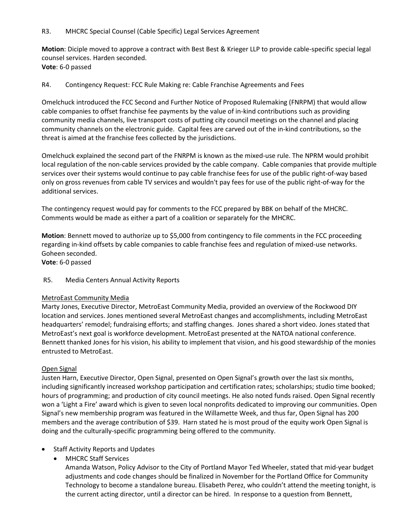**Motion**: Diciple moved to approve a contract with Best Best & Krieger LLP to provide cable-specific special legal counsel services. Harden seconded. **Vote**: 6-0 passed

### R4. Contingency Request: FCC Rule Making re: Cable Franchise Agreements and Fees

Omelchuck introduced the FCC Second and Further Notice of Proposed Rulemaking (FNRPM) that would allow cable companies to offset franchise fee payments by the value of in-kind contributions such as providing community media channels, live transport costs of putting city council meetings on the channel and placing community channels on the electronic guide. Capital fees are carved out of the in-kind contributions, so the threat is aimed at the franchise fees collected by the jurisdictions.

Omelchuck explained the second part of the FNRPM is known as the mixed-use rule. The NPRM would prohibit local regulation of the non-cable services provided by the cable company. Cable companies that provide multiple services over their systems would continue to pay cable franchise fees for use of the public right-of-way based only on gross revenues from cable TV services and wouldn't pay fees for use of the public right-of-way for the additional services.

The contingency request would pay for comments to the FCC prepared by BBK on behalf of the MHCRC. Comments would be made as either a part of a coalition or separately for the MHCRC.

**Motion**: Bennett moved to authorize up to \$5,000 from contingency to file comments in the FCC proceeding regarding in-kind offsets by cable companies to cable franchise fees and regulation of mixed-use networks. Goheen seconded.

**Vote**: 6-0 passed

R5. Media Centers Annual Activity Reports

#### MetroEast Community Media

Marty Jones, Executive Director, MetroEast Community Media, provided an overview of the Rockwood DIY location and services. Jones mentioned several MetroEast changes and accomplishments, including MetroEast headquarters' remodel; fundraising efforts; and staffing changes. Jones shared a short video. Jones stated that MetroEast's next goal is workforce development. MetroEast presented at the NATOA national conference. Bennett thanked Jones for his vision, his ability to implement that vision, and his good stewardship of the monies entrusted to MetroEast.

## Open Signal

Justen Harn, Executive Director, Open Signal, presented on Open Signal's growth over the last six months, including significantly increased workshop participation and certification rates; scholarships; studio time booked; hours of programming; and production of city council meetings. He also noted funds raised. Open Signal recently won a 'Light a Fire' award which is given to seven local nonprofits dedicated to improving our communities. Open Signal's new membership program was featured in the Willamette Week, and thus far, Open Signal has 200 members and the average contribution of \$39. Harn stated he is most proud of the equity work Open Signal is doing and the culturally-specific programming being offered to the community.

- Staff Activity Reports and Updates
	- MHCRC Staff Services

Amanda Watson, Policy Advisor to the City of Portland Mayor Ted Wheeler, stated that mid-year budget adjustments and code changes should be finalized in November for the Portland Office for Community Technology to become a standalone bureau. Elisabeth Perez, who couldn't attend the meeting tonight, is the current acting director, until a director can be hired. In response to a question from Bennett,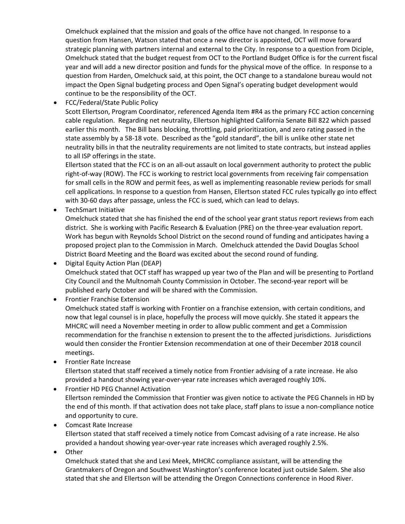Omelchuck explained that the mission and goals of the office have not changed. In response to a question from Hansen, Watson stated that once a new director is appointed, OCT will move forward strategic planning with partners internal and external to the City. In response to a question from Diciple, Omelchuck stated that the budget request from OCT to the Portland Budget Office is for the current fiscal year and will add a new director position and funds for the physical move of the office. In response to a question from Harden, Omelchuck said, at this point, the OCT change to a standalone bureau would not impact the Open Signal budgeting process and Open Signal's operating budget development would continue to be the responsibility of the OCT.

• FCC/Federal/State Public Policy

Scott Ellertson, Program Coordinator, referenced Agenda Item #R4 as the primary FCC action concerning cable regulation. Regarding net neutrality, Ellertson highlighted California Senate Bill 822 which passed earlier this month. The Bill bans blocking, throttling, paid prioritization, and zero rating passed in the state assembly by a 58-18 vote. Described as the "gold standard", the bill is unlike other state net neutrality bills in that the neutrality requirements are not limited to state contracts, but instead applies to all ISP offerings in the state.

Ellertson stated that the FCC is on an all-out assault on local government authority to protect the public right-of-way (ROW). The FCC is working to restrict local governments from receiving fair compensation for small cells in the ROW and permit fees, as well as implementing reasonable review periods for small cell applications. In response to a question from Hansen, Ellertson stated FCC rules typically go into effect with 30-60 days after passage, unless the FCC is sued, which can lead to delays.

• TechSmart Initiative

Omelchuck stated that she has finished the end of the school year grant status report reviews from each district. She is working with Pacific Research & Evaluation (PRE) on the three-year evaluation report. Work has begun with Reynolds School District on the second round of funding and anticipates having a proposed project plan to the Commission in March. Omelchuck attended the David Douglas School District Board Meeting and the Board was excited about the second round of funding.

• Digital Equity Action Plan (DEAP) Omelchuck stated that OCT staff has wrapped up year two of the Plan and will be presenting to Portland City Council and the Multnomah County Commission in October. The second-year report will be published early October and will be shared with the Commission.

- Frontier Franchise Extension Omelchuck stated staff is working with Frontier on a franchise extension, with certain conditions, and now that legal counsel is in place, hopefully the process will move quickly. She stated it appears the MHCRC will need a November meeting in order to allow public comment and get a Commission recommendation for the franchise n extension to present the to the affected jurisdictions. Jurisdictions would then consider the Frontier Extension recommendation at one of their December 2018 council meetings.
- Frontier Rate Increase Ellertson stated that staff received a timely notice from Frontier advising of a rate increase. He also provided a handout showing year-over-year rate increases which averaged roughly 10%.
- Frontier HD PEG Channel Activation Ellertson reminded the Commission that Frontier was given notice to activate the PEG Channels in HD by the end of this month. If that activation does not take place, staff plans to issue a non-compliance notice and opportunity to cure.
- Comcast Rate Increase Ellertson stated that staff received a timely notice from Comcast advising of a rate increase. He also provided a handout showing year-over-year rate increases which averaged roughly 2.5%.
- **Other**

Omelchuck stated that she and Lexi Meek, MHCRC compliance assistant, will be attending the Grantmakers of Oregon and Southwest Washington's conference located just outside Salem. She also stated that she and Ellertson will be attending the Oregon Connections conference in Hood River.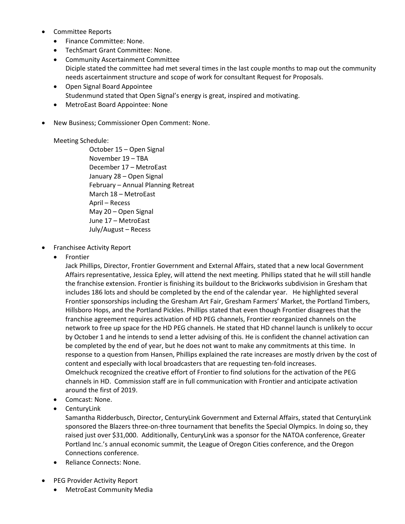- Committee Reports
	- Finance Committee: None.
	- TechSmart Grant Committee: None.
	- Community Ascertainment Committee Diciple stated the committee had met several times in the last couple months to map out the community needs ascertainment structure and scope of work for consultant Request for Proposals.
	- Open Signal Board Appointee Studenmund stated that Open Signal's energy is great, inspired and motivating.
	- MetroEast Board Appointee: None
- New Business; Commissioner Open Comment: None.

# Meeting Schedule:

October 15 – Open Signal November 19 – TBA December 17 – MetroEast January 28 – Open Signal February – Annual Planning Retreat March 18 – MetroEast April – Recess May 20 – Open Signal June 17 – MetroEast July/August – Recess

- Franchisee Activity Report
	- Frontier

Jack Phillips, Director, Frontier Government and External Affairs, stated that a new local Government Affairs representative, Jessica Epley, will attend the next meeting. Phillips stated that he will still handle the franchise extension. Frontier is finishing its buildout to the Brickworks subdivision in Gresham that includes 186 lots and should be completed by the end of the calendar year. He highlighted several Frontier sponsorships including the Gresham Art Fair, Gresham Farmers' Market, the Portland Timbers, Hillsboro Hops, and the Portland Pickles. Phillips stated that even though Frontier disagrees that the franchise agreement requires activation of HD PEG channels, Frontier reorganized channels on the network to free up space for the HD PEG channels. He stated that HD channel launch is unlikely to occur by October 1 and he intends to send a letter advising of this. He is confident the channel activation can be completed by the end of year, but he does not want to make any commitments at this time. In response to a question from Hansen, Phillips explained the rate increases are mostly driven by the cost of content and especially with local broadcasters that are requesting ten-fold increases. Omelchuck recognized the creative effort of Frontier to find solutions for the activation of the PEG channels in HD. Commission staff are in full communication with Frontier and anticipate activation around the first of 2019.

- Comcast: None.
- CenturyLink

Samantha Ridderbusch, Director, CenturyLink Government and External Affairs, stated that CenturyLink sponsored the Blazers three-on-three tournament that benefits the Special Olympics. In doing so, they raised just over \$31,000. Additionally, CenturyLink was a sponsor for the NATOA conference, Greater Portland Inc.'s annual economic summit, the League of Oregon Cities conference, and the Oregon Connections conference.

- Reliance Connects: None.
- PEG Provider Activity Report
	- MetroEast Community Media